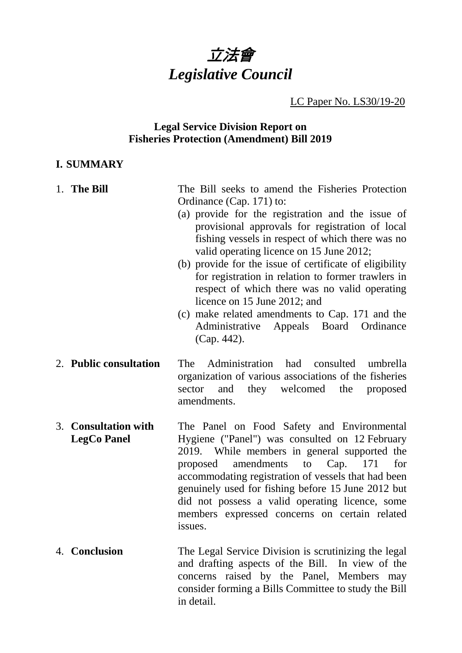

LC Paper No. LS30/19-20

### **Legal Service Division Report on Fisheries Protection (Amendment) Bill 2019**

### **I. SUMMARY**

| 1. The Bill                                | The Bill seeks to amend the Fisheries Protection<br>Ordinance (Cap. 171) to:<br>(a) provide for the registration and the issue of<br>provisional approvals for registration of local<br>fishing vessels in respect of which there was no<br>valid operating licence on 15 June 2012;<br>(b) provide for the issue of certificate of eligibility<br>for registration in relation to former trawlers in<br>respect of which there was no valid operating<br>licence on 15 June 2012; and<br>(c) make related amendments to Cap. 171 and the<br>Appeals Board Ordinance<br>Administrative<br>(Cap. 442). |
|--------------------------------------------|-------------------------------------------------------------------------------------------------------------------------------------------------------------------------------------------------------------------------------------------------------------------------------------------------------------------------------------------------------------------------------------------------------------------------------------------------------------------------------------------------------------------------------------------------------------------------------------------------------|
| 2. Public consultation                     | Administration had consulted<br>The<br>umbrella<br>organization of various associations of the fisheries<br>they welcomed<br>the<br>sector<br>and<br>proposed<br>amendments.                                                                                                                                                                                                                                                                                                                                                                                                                          |
| 3. Consultation with<br><b>LegCo Panel</b> | The Panel on Food Safety and Environmental<br>Hygiene ("Panel") was consulted on 12 February<br>2019. While members in general supported the<br>amendments to<br>Cap. 171<br>proposed<br>for<br>accommodating registration of vessels that had been<br>genuinely used for fishing before 15 June 2012 but<br>did not possess a valid operating licence, some<br>members expressed concerns on certain related<br>issues.                                                                                                                                                                              |
| 4. Conclusion                              | The Legal Service Division is scrutinizing the legal<br>and drafting aspects of the Bill. In view of the<br>concerns raised by the Panel, Members may                                                                                                                                                                                                                                                                                                                                                                                                                                                 |

in detail.

consider forming a Bills Committee to study the Bill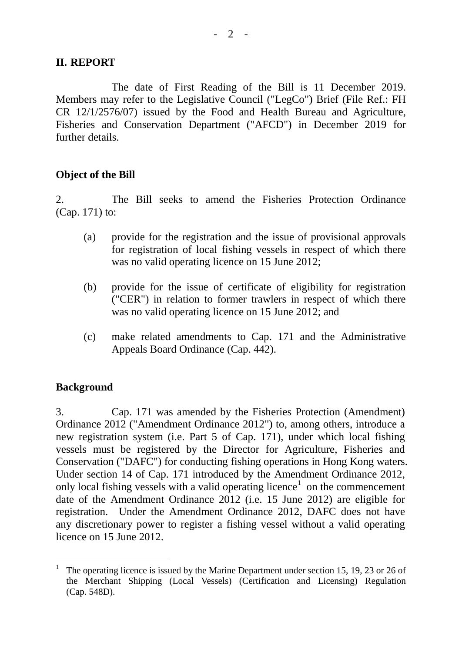### **II. REPORT**

The date of First Reading of the Bill is 11 December 2019. Members may refer to the Legislative Council ("LegCo") Brief (File Ref.: FH CR 12/1/2576/07) issued by the Food and Health Bureau and Agriculture, Fisheries and Conservation Department ("AFCD") in December 2019 for further details.

#### **Object of the Bill**

2. The Bill seeks to amend the Fisheries Protection Ordinance (Cap. 171) to:

- (a) provide for the registration and the issue of provisional approvals for registration of local fishing vessels in respect of which there was no valid operating licence on 15 June 2012;
- (b) provide for the issue of certificate of eligibility for registration ("CER") in relation to former trawlers in respect of which there was no valid operating licence on 15 June 2012; and
- (c) make related amendments to Cap. 171 and the Administrative Appeals Board Ordinance (Cap. 442).

### **Background**

3. Cap. 171 was amended by the Fisheries Protection (Amendment) Ordinance 2012 ("Amendment Ordinance 2012") to, among others, introduce a new registration system (i.e. Part 5 of Cap. 171), under which local fishing vessels must be registered by the Director for Agriculture, Fisheries and Conservation ("DAFC") for conducting fishing operations in Hong Kong waters. Under section 14 of Cap. 171 introduced by the Amendment Ordinance 2012, only local fishing vessels with a valid operating licence<sup>[1](#page-1-0)</sup> on the commencement date of the Amendment Ordinance 2012 (i.e. 15 June 2012) are eligible for registration. Under the Amendment Ordinance 2012, DAFC does not have any discretionary power to register a fishing vessel without a valid operating licence on 15 June 2012.

<span id="page-1-0"></span>The operating licence is issued by the Marine Department under section 15, 19, 23 or 26 of the Merchant Shipping (Local Vessels) (Certification and Licensing) Regulation (Cap. 548D).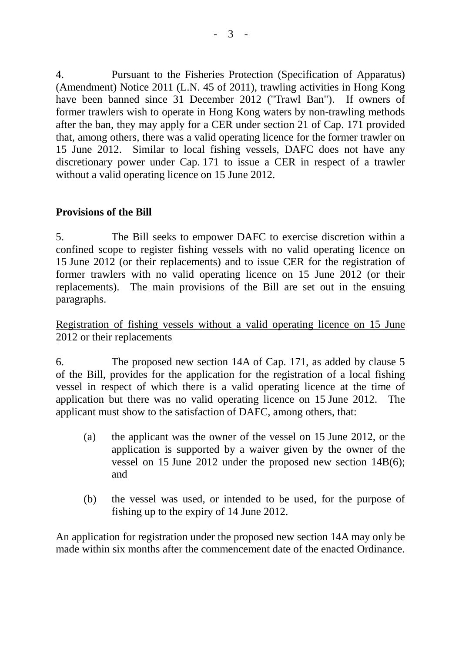4. Pursuant to the Fisheries Protection (Specification of Apparatus) (Amendment) Notice 2011 (L.N. 45 of 2011), trawling activities in Hong Kong have been banned since 31 December 2012 ("Trawl Ban"). If owners of former trawlers wish to operate in Hong Kong waters by non-trawling methods after the ban, they may apply for a CER under section 21 of Cap. 171 provided that, among others, there was a valid operating licence for the former trawler on 15 June 2012. Similar to local fishing vessels, DAFC does not have any discretionary power under Cap. 171 to issue a CER in respect of a trawler without a valid operating licence on 15 June 2012.

### **Provisions of the Bill**

5. The Bill seeks to empower DAFC to exercise discretion within a confined scope to register fishing vessels with no valid operating licence on 15 June 2012 (or their replacements) and to issue CER for the registration of former trawlers with no valid operating licence on 15 June 2012 (or their replacements). The main provisions of the Bill are set out in the ensuing paragraphs.

Registration of fishing vessels without a valid operating licence on 15 June 2012 or their replacements

6. The proposed new section 14A of Cap. 171, as added by clause 5 of the Bill, provides for the application for the registration of a local fishing vessel in respect of which there is a valid operating licence at the time of application but there was no valid operating licence on 15 June 2012. The applicant must show to the satisfaction of DAFC, among others, that:

- (a) the applicant was the owner of the vessel on 15 June 2012, or the application is supported by a waiver given by the owner of the vessel on 15 June 2012 under the proposed new section 14B(6); and
- (b) the vessel was used, or intended to be used, for the purpose of fishing up to the expiry of 14 June 2012.

An application for registration under the proposed new section 14A may only be made within six months after the commencement date of the enacted Ordinance.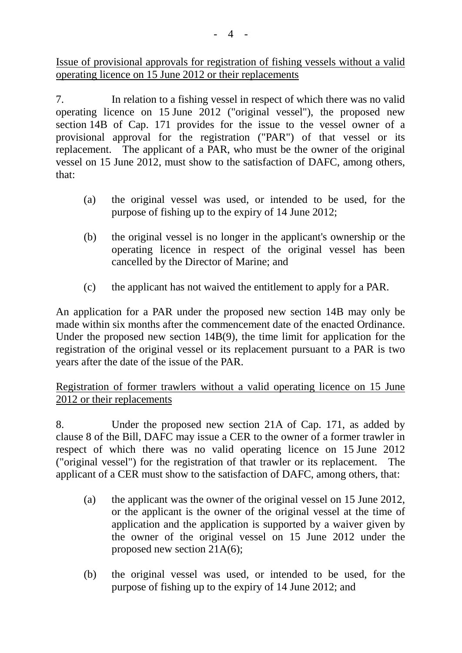Issue of provisional approvals for registration of fishing vessels without a valid operating licence on 15 June 2012 or their replacements

7. In relation to a fishing vessel in respect of which there was no valid operating licence on 15 June 2012 ("original vessel"), the proposed new section 14B of Cap. 171 provides for the issue to the vessel owner of a provisional approval for the registration ("PAR") of that vessel or its replacement. The applicant of a PAR, who must be the owner of the original vessel on 15 June 2012, must show to the satisfaction of DAFC, among others, that:

- (a) the original vessel was used, or intended to be used, for the purpose of fishing up to the expiry of 14 June 2012;
- (b) the original vessel is no longer in the applicant's ownership or the operating licence in respect of the original vessel has been cancelled by the Director of Marine; and
- (c) the applicant has not waived the entitlement to apply for a PAR.

An application for a PAR under the proposed new section 14B may only be made within six months after the commencement date of the enacted Ordinance. Under the proposed new section 14B(9), the time limit for application for the registration of the original vessel or its replacement pursuant to a PAR is two years after the date of the issue of the PAR.

# Registration of former trawlers without a valid operating licence on 15 June 2012 or their replacements

8. Under the proposed new section 21A of Cap. 171, as added by clause 8 of the Bill, DAFC may issue a CER to the owner of a former trawler in respect of which there was no valid operating licence on 15 June 2012 ("original vessel") for the registration of that trawler or its replacement. The applicant of a CER must show to the satisfaction of DAFC, among others, that:

- (a) the applicant was the owner of the original vessel on 15 June 2012, or the applicant is the owner of the original vessel at the time of application and the application is supported by a waiver given by the owner of the original vessel on 15 June 2012 under the proposed new section 21A(6);
- (b) the original vessel was used, or intended to be used, for the purpose of fishing up to the expiry of 14 June 2012; and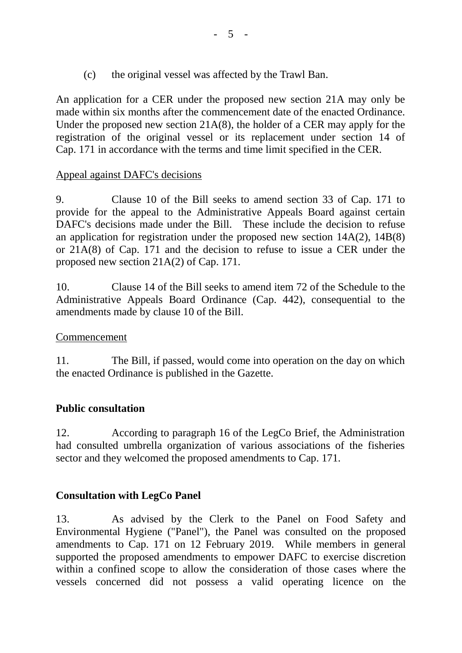(c) the original vessel was affected by the Trawl Ban.

An application for a CER under the proposed new section 21A may only be made within six months after the commencement date of the enacted Ordinance. Under the proposed new section 21A(8), the holder of a CER may apply for the registration of the original vessel or its replacement under section 14 of Cap. 171 in accordance with the terms and time limit specified in the CER.

### Appeal against DAFC's decisions

9. Clause 10 of the Bill seeks to amend section 33 of Cap. 171 to provide for the appeal to the Administrative Appeals Board against certain DAFC's decisions made under the Bill. These include the decision to refuse an application for registration under the proposed new section 14A(2), 14B(8) or 21A(8) of Cap. 171 and the decision to refuse to issue a CER under the proposed new section 21A(2) of Cap. 171.

10. Clause 14 of the Bill seeks to amend item 72 of the Schedule to the Administrative Appeals Board Ordinance (Cap. 442), consequential to the amendments made by clause 10 of the Bill.

### Commencement

11. The Bill, if passed, would come into operation on the day on which the enacted Ordinance is published in the Gazette.

# **Public consultation**

12. According to paragraph 16 of the LegCo Brief, the Administration had consulted umbrella organization of various associations of the fisheries sector and they welcomed the proposed amendments to Cap. 171.

# **Consultation with LegCo Panel**

13. As advised by the Clerk to the Panel on Food Safety and Environmental Hygiene ("Panel"), the Panel was consulted on the proposed amendments to Cap. 171 on 12 February 2019. While members in general supported the proposed amendments to empower DAFC to exercise discretion within a confined scope to allow the consideration of those cases where the vessels concerned did not possess a valid operating licence on the